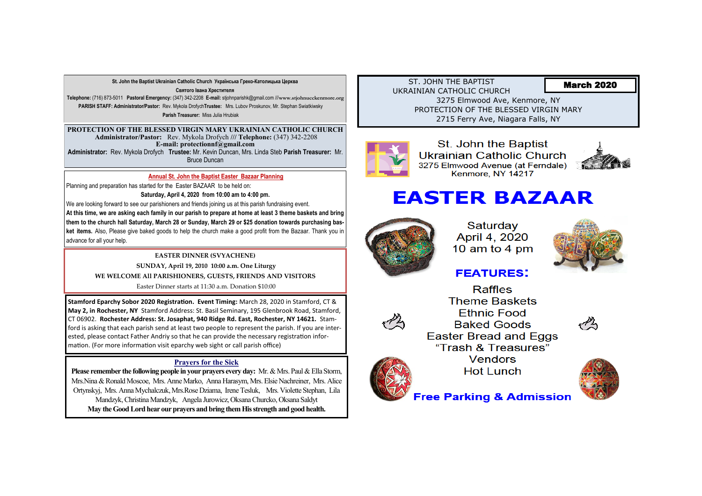ST. JOHN THE BAPTIST UKRAINIAN CATHOLIC CHURCH 3275 Elmwood Ave, Kenmore, NY PROTECTION OF THE BLESSED VIRGIN MARY 2715 Ferry Ave, Niagara Falls, NY



St. John the Baptist Ukrainian Catholic Church 3275 Elmwood Avenue (at Ferndale) Kenmore, NY 14217

# **EASTER BAZAAR**



Saturday April 4, 2020 10 am to 4 pm

# **FEATURES:**

**Raffles Theme Baskets Ethnic Food Baked Goods Easter Bread and Eggs** "Trash & Treasures" **Vendors Hot Lunch** 



**Free Parking & Admission** 

**St. John the Baptist Ukrainian Catholic Church Українська Греко-Католицька Церква** 

**Святого Івана Хрестителя**

**Telephone:** (716) 873-5011 **Pastoral Emergency:** (347) 342-2208 **E-mail:** stjohnparishk@gmail.com ///**www.stjohnucckenmore.org PARISH STAFF: Administrator/Pastor:** Rev. Mykola Drofych**Trustee:** Mrs. Lubov Proskunov, Mr. Stephan Swiatkiwsky **Parish Treasurer:** Miss Julia Hrubiak

**Please remember the following people in your prayers every day:** Mr. & Mrs. Paul & Ella Storm, Mrs.Nina & Ronald Moscoe, Mrs. Anne Marko, Anna Harasym, Mrs. Elsie Nachreiner, Mrs. Alice Ortynskyj, Mrs. Anna Mychalczuk, Mrs.Rose Dziama, Irene Tesluk, Mrs. Violette Stephan, Lila Mandzyk, Christina Mandzyk, Angela Jurowicz, Oksana Churcko, Oksana Saldyt **May the Good Lord hear our prayers and bring them His strength and good health.** 

**PROTECTION OF THE BLESSED VIRGIN MARY UKRAINIAN CATHOLIC CHURCH Administrator/Pastor:** Rev. Mykola Drofych **/// Telephone:** (347) 342-2208 **E-mail: protectionnf@gmail.com** 

**Administrator:** Rev. Mykola Drofych **Trustee:** Mr. Kevin Duncan, Mrs. Linda Steb **Parish Treasurer:** Mr. Bruce Duncan

## March 2020















### **Prayers for the Sick**

**EASTER DINNER (SVYACHENE) SUNDAY, April 19, 2010 10:00 a.m. One Liturgy WE WELCOME All PARISHIONERS, GUESTS, FRIENDS AND VISITORS** 

Easter Dinner starts at 11:30 a.m. Donation \$10:00

#### **Annual St. John the Baptist Easter Bazaar Planning**

Planning and preparation has started for the Easter BAZAAR to be held on:

**Saturday, April 4, 2020 from 10:00 am to 4:00 pm.** 

We are looking forward to see our parishioners and friends joining us at this parish fundraising event.

**At this time, we are asking each family in our parish to prepare at home at least 3 theme baskets and bring them to the church hall Saturday, March 28 or Sunday, March 29 or \$25 donation towards purchasing basket items.** Also, Please give baked goods to help the church make a good profit from the Bazaar. Thank you in advance for all your help.

**Stamford Eparchy Sobor 2020 Registration. Event Timing:** March 28, 2020 in Stamford, CT & **May 2, in Rochester, NY** Stamford Address: St. Basil Seminary, 195 Glenbrook Road, Stamford, CT 06902. **Rochester Address: St. Josaphat, 940 Ridge Rd. East, Rochester, NY 14621.** Stamford is asking that each parish send at least two people to represent the parish. If you are interested, please contact Father Andriy so that he can provide the necessary registration information. (For more information visit eparchy web sight or call parish office)